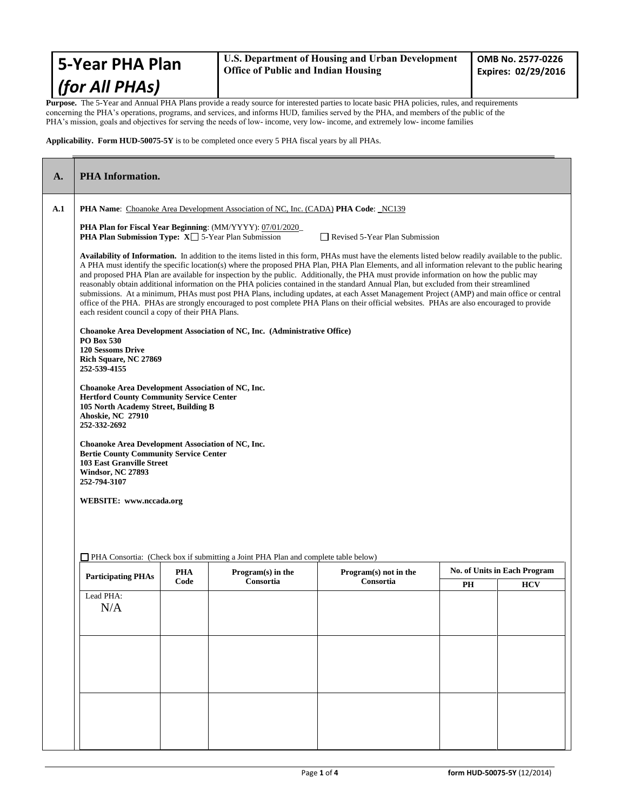| 5-Year PHA Plan | $\mathbf{U}$<br>l o |
|-----------------|---------------------|
| (for All PHAs)  |                     |

**Purpose.** The 5-Year and Annual PHA Plans provide a ready source for interested parties to locate basic PHA policies, rules, and requirements concerning the PHA's operations, programs, and services, and informs HUD, families served by the PHA, and members of the public of the PHA's mission, goals and objectives for serving the needs of low- income, very low- income, and extremely low- income families

**Applicability. Form HUD-50075-5Y** is to be completed once every 5 PHA fiscal years by all PHAs.

| A.  | <b>PHA</b> Information.                                                                                                                                                                                                                                                                                                                                                                                                                                                                                                                                                                                                                                                                                                                                                                                                                                                                                                                     |  |  |  |            |  |
|-----|---------------------------------------------------------------------------------------------------------------------------------------------------------------------------------------------------------------------------------------------------------------------------------------------------------------------------------------------------------------------------------------------------------------------------------------------------------------------------------------------------------------------------------------------------------------------------------------------------------------------------------------------------------------------------------------------------------------------------------------------------------------------------------------------------------------------------------------------------------------------------------------------------------------------------------------------|--|--|--|------------|--|
| A.1 | <b>PHA Name:</b> Choanoke Area Development Association of NC, Inc. (CADA) <b>PHA Code</b> : NC139                                                                                                                                                                                                                                                                                                                                                                                                                                                                                                                                                                                                                                                                                                                                                                                                                                           |  |  |  |            |  |
|     | <b>PHA Plan for Fiscal Year Beginning: (MM/YYYY): 07/01/2020</b><br><b>PHA Plan Submission Type:</b> $X \square$ 5-Year Plan Submission<br>Revised 5-Year Plan Submission                                                                                                                                                                                                                                                                                                                                                                                                                                                                                                                                                                                                                                                                                                                                                                   |  |  |  |            |  |
|     | Availability of Information. In addition to the items listed in this form, PHAs must have the elements listed below readily available to the public.<br>A PHA must identify the specific location(s) where the proposed PHA Plan, PHA Plan Elements, and all information relevant to the public hearing<br>and proposed PHA Plan are available for inspection by the public. Additionally, the PHA must provide information on how the public may<br>reasonably obtain additional information on the PHA policies contained in the standard Annual Plan, but excluded from their streamlined<br>submissions. At a minimum, PHAs must post PHA Plans, including updates, at each Asset Management Project (AMP) and main office or central<br>office of the PHA. PHAs are strongly encouraged to post complete PHA Plans on their official websites. PHAs are also encouraged to provide<br>each resident council a copy of their PHA Plans. |  |  |  |            |  |
|     | Choanoke Area Development Association of NC, Inc. (Administrative Office)<br>PO Box 530<br><b>120 Sessoms Drive</b><br>Rich Square, NC 27869<br>252-539-4155                                                                                                                                                                                                                                                                                                                                                                                                                                                                                                                                                                                                                                                                                                                                                                                |  |  |  |            |  |
|     | Choanoke Area Development Association of NC, Inc.<br><b>Hertford County Community Service Center</b><br>105 North Academy Street, Building B<br>Ahoskie, NC 27910<br>252-332-2692                                                                                                                                                                                                                                                                                                                                                                                                                                                                                                                                                                                                                                                                                                                                                           |  |  |  |            |  |
|     | Choanoke Area Development Association of NC, Inc.<br><b>Bertie County Community Service Center</b><br><b>103 East Granville Street</b><br><b>Windsor, NC 27893</b><br>252-794-3107                                                                                                                                                                                                                                                                                                                                                                                                                                                                                                                                                                                                                                                                                                                                                          |  |  |  |            |  |
|     | WEBSITE: www.nccada.org                                                                                                                                                                                                                                                                                                                                                                                                                                                                                                                                                                                                                                                                                                                                                                                                                                                                                                                     |  |  |  |            |  |
|     | PHA Consortia: (Check box if submitting a Joint PHA Plan and complete table below)                                                                                                                                                                                                                                                                                                                                                                                                                                                                                                                                                                                                                                                                                                                                                                                                                                                          |  |  |  |            |  |
|     | <b>No. of Units in Each Program</b><br>PHA<br>Program(s) in the<br>Program(s) not in the<br><b>Participating PHAs</b><br>Code<br>Consortia<br>Consortia                                                                                                                                                                                                                                                                                                                                                                                                                                                                                                                                                                                                                                                                                                                                                                                     |  |  |  | <b>HCV</b> |  |
|     | Lead PHA:<br>N/A                                                                                                                                                                                                                                                                                                                                                                                                                                                                                                                                                                                                                                                                                                                                                                                                                                                                                                                            |  |  |  | PH         |  |
|     |                                                                                                                                                                                                                                                                                                                                                                                                                                                                                                                                                                                                                                                                                                                                                                                                                                                                                                                                             |  |  |  |            |  |
|     |                                                                                                                                                                                                                                                                                                                                                                                                                                                                                                                                                                                                                                                                                                                                                                                                                                                                                                                                             |  |  |  |            |  |
|     |                                                                                                                                                                                                                                                                                                                                                                                                                                                                                                                                                                                                                                                                                                                                                                                                                                                                                                                                             |  |  |  |            |  |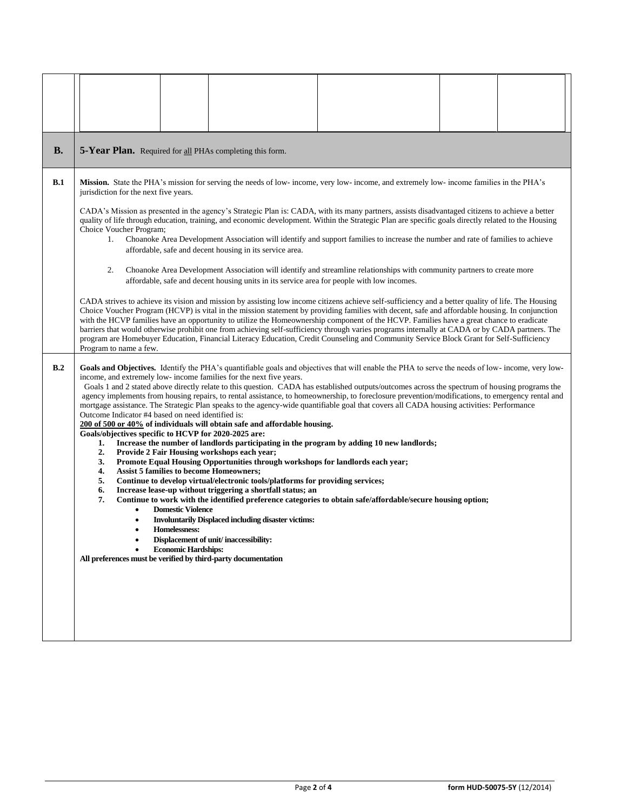| <b>B.</b> | 5-Year Plan. Required for all PHAs completing this form.                                                                                                                                                                                                                                                                                                                                                                                                                                                                                                                                                                                                                                                                                                                                                                                                                                                                                                                                                                                                                                                                                                                                                                                                                                                                                                                                                                                                                                                                                                                                                                                                                                                                                                    |  |  |  |  |  |
|-----------|-------------------------------------------------------------------------------------------------------------------------------------------------------------------------------------------------------------------------------------------------------------------------------------------------------------------------------------------------------------------------------------------------------------------------------------------------------------------------------------------------------------------------------------------------------------------------------------------------------------------------------------------------------------------------------------------------------------------------------------------------------------------------------------------------------------------------------------------------------------------------------------------------------------------------------------------------------------------------------------------------------------------------------------------------------------------------------------------------------------------------------------------------------------------------------------------------------------------------------------------------------------------------------------------------------------------------------------------------------------------------------------------------------------------------------------------------------------------------------------------------------------------------------------------------------------------------------------------------------------------------------------------------------------------------------------------------------------------------------------------------------------|--|--|--|--|--|
| B.1       | Mission. State the PHA's mission for serving the needs of low-income, very low-income, and extremely low-income families in the PHA's<br>jurisdiction for the next five years.                                                                                                                                                                                                                                                                                                                                                                                                                                                                                                                                                                                                                                                                                                                                                                                                                                                                                                                                                                                                                                                                                                                                                                                                                                                                                                                                                                                                                                                                                                                                                                              |  |  |  |  |  |
|           | CADA's Mission as presented in the agency's Strategic Plan is: CADA, with its many partners, assists disadvantaged citizens to achieve a better<br>quality of life through education, training, and economic development. Within the Strategic Plan are specific goals directly related to the Housing<br>Choice Voucher Program;<br>Choanoke Area Development Association will identify and support families to increase the number and rate of families to achieve<br>1.<br>affordable, safe and decent housing in its service area.                                                                                                                                                                                                                                                                                                                                                                                                                                                                                                                                                                                                                                                                                                                                                                                                                                                                                                                                                                                                                                                                                                                                                                                                                      |  |  |  |  |  |
|           | Choanoke Area Development Association will identify and streamline relationships with community partners to create more<br>2.<br>affordable, safe and decent housing units in its service area for people with low incomes.<br>CADA strives to achieve its vision and mission by assisting low income citizens achieve self-sufficiency and a better quality of life. The Housing<br>Choice Voucher Program (HCVP) is vital in the mission statement by providing families with decent, safe and affordable housing. In conjunction<br>with the HCVP families have an opportunity to utilize the Homeownership component of the HCVP. Families have a great chance to eradicate<br>barriers that would otherwise prohibit one from achieving self-sufficiency through varies programs internally at CADA or by CADA partners. The<br>program are Homebuyer Education, Financial Literacy Education, Credit Counseling and Community Service Block Grant for Self-Sufficiency                                                                                                                                                                                                                                                                                                                                                                                                                                                                                                                                                                                                                                                                                                                                                                                |  |  |  |  |  |
| B.2       | Program to name a few.<br>Goals and Objectives. Identify the PHA's quantifiable goals and objectives that will enable the PHA to serve the needs of low-income, very low-<br>income, and extremely low- income families for the next five years.<br>Goals 1 and 2 stated above directly relate to this question. CADA has established outputs/outcomes across the spectrum of housing programs the<br>agency implements from housing repairs, to rental assistance, to homeownership, to foreclosure prevention/modifications, to emergency rental and<br>mortgage assistance. The Strategic Plan speaks to the agency-wide quantifiable goal that covers all CADA housing activities: Performance<br>Outcome Indicator #4 based on need identified is:<br>200 of 500 or 40% of individuals will obtain safe and affordable housing.<br>Goals/objectives specific to HCVP for 2020-2025 are:<br>Increase the number of landlords participating in the program by adding 10 new landlords;<br>1.<br>Provide 2 Fair Housing workshops each year;<br>2.<br>Promote Equal Housing Opportunities through workshops for landlords each year;<br>3.<br><b>Assist 5 families to become Homeowners;</b><br>4.<br>5.<br>Continue to develop virtual/electronic tools/platforms for providing services;<br>Increase lease-up without triggering a shortfall status; an<br>6.<br>7.<br>Continue to work with the identified preference categories to obtain safe/affordable/secure housing option;<br><b>Domestic Violence</b><br>$\bullet$<br><b>Involuntarily Displaced including disaster victims:</b><br>٠<br>Homelessness:<br>Displacement of unit/inaccessibility:<br><b>Economic Hardships:</b><br>All preferences must be verified by third-party documentation |  |  |  |  |  |
|           |                                                                                                                                                                                                                                                                                                                                                                                                                                                                                                                                                                                                                                                                                                                                                                                                                                                                                                                                                                                                                                                                                                                                                                                                                                                                                                                                                                                                                                                                                                                                                                                                                                                                                                                                                             |  |  |  |  |  |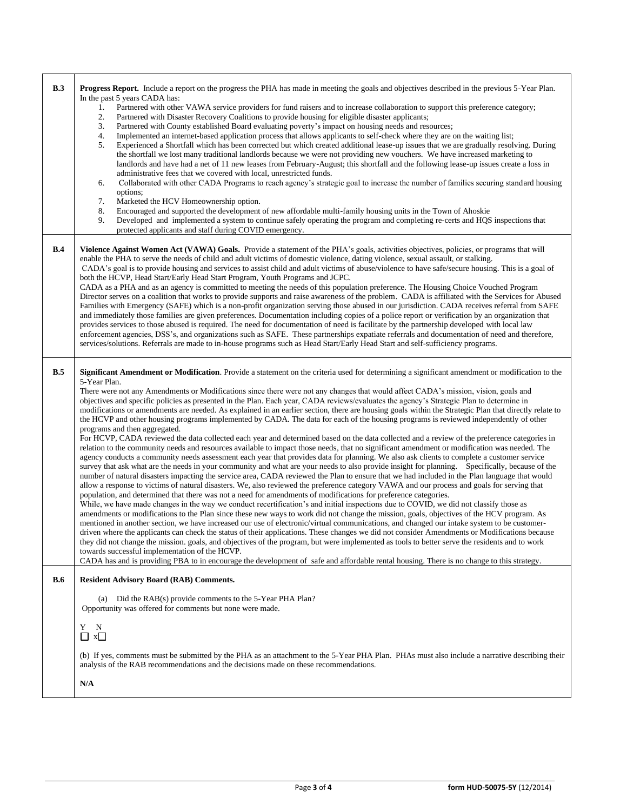| B.3        | <b>Progress Report.</b> Include a report on the progress the PHA has made in meeting the goals and objectives described in the previous 5-Year Plan.<br>In the past 5 years CADA has:<br>Partnered with other VAWA service providers for fund raisers and to increase collaboration to support this preference category;<br>1.<br>2.<br>Partnered with Disaster Recovery Coalitions to provide housing for eligible disaster applicants;<br>3.<br>Partnered with County established Board evaluating poverty's impact on housing needs and resources;<br>Implemented an internet-based application process that allows applicants to self-check where they are on the waiting list;<br>4.<br>5.<br>Experienced a Shortfall which has been corrected but which created additional lease-up issues that we are gradually resolving. During<br>the shortfall we lost many traditional landlords because we were not providing new vouchers. We have increased marketing to<br>landlords and have had a net of 11 new leases from February-August; this shortfall and the following lease-up issues create a loss in<br>administrative fees that we covered with local, unrestricted funds.<br>Collaborated with other CADA Programs to reach agency's strategic goal to increase the number of families securing standard housing<br>6.<br>options;<br>7.<br>Marketed the HCV Homeownership option.<br>8.<br>Encouraged and supported the development of new affordable multi-family housing units in the Town of Ahoskie<br>9.<br>Developed and implemented a system to continue safely operating the program and completing re-certs and HQS inspections that<br>protected applicants and staff during COVID emergency.                                                                                                                                                                                                                                                                                                                                                                                                                                                                                                                                                                                                                                                                                                                                                                                                                                                                                                                                                                                                                           |
|------------|--------------------------------------------------------------------------------------------------------------------------------------------------------------------------------------------------------------------------------------------------------------------------------------------------------------------------------------------------------------------------------------------------------------------------------------------------------------------------------------------------------------------------------------------------------------------------------------------------------------------------------------------------------------------------------------------------------------------------------------------------------------------------------------------------------------------------------------------------------------------------------------------------------------------------------------------------------------------------------------------------------------------------------------------------------------------------------------------------------------------------------------------------------------------------------------------------------------------------------------------------------------------------------------------------------------------------------------------------------------------------------------------------------------------------------------------------------------------------------------------------------------------------------------------------------------------------------------------------------------------------------------------------------------------------------------------------------------------------------------------------------------------------------------------------------------------------------------------------------------------------------------------------------------------------------------------------------------------------------------------------------------------------------------------------------------------------------------------------------------------------------------------------------------------------------------------------------------------------------------------------------------------------------------------------------------------------------------------------------------------------------------------------------------------------------------------------------------------------------------------------------------------------------------------------------------------------------------------------------------------------------------------------------------------------------------------------------------------------------------------------|
| B.4        | Violence Against Women Act (VAWA) Goals. Provide a statement of the PHA's goals, activities objectives, policies, or programs that will<br>enable the PHA to serve the needs of child and adult victims of domestic violence, dating violence, sexual assault, or stalking.<br>CADA's goal is to provide housing and services to assist child and adult victims of abuse/violence to have safe/secure housing. This is a goal of<br>both the HCVP, Head Start/Early Head Start Program, Youth Programs and JCPC.<br>CADA as a PHA and as an agency is committed to meeting the needs of this population preference. The Housing Choice Vouched Program<br>Director serves on a coalition that works to provide supports and raise awareness of the problem. CADA is affiliated with the Services for Abused<br>Families with Emergency (SAFE) which is a non-profit organization serving those abused in our jurisdiction. CADA receives referral from SAFE<br>and immediately those families are given preferences. Documentation including copies of a police report or verification by an organization that<br>provides services to those abused is required. The need for documentation of need is facilitate by the partnership developed with local law<br>enforcement agencies, DSS's, and organizations such as SAFE. These partnerships expatiate referrals and documentation of need and therefore,<br>services/solutions. Referrals are made to in-house programs such as Head Start/Early Head Start and self-sufficiency programs.                                                                                                                                                                                                                                                                                                                                                                                                                                                                                                                                                                                                                                                                                                                                                                                                                                                                                                                                                                                                                                                                                                                                                                                                  |
| B.5        | Significant Amendment or Modification. Provide a statement on the criteria used for determining a significant amendment or modification to the<br>5-Year Plan.<br>There were not any Amendments or Modifications since there were not any changes that would affect CADA's mission, vision, goals and<br>objectives and specific policies as presented in the Plan. Each year, CADA reviews/evaluates the agency's Strategic Plan to determine in<br>modifications or amendments are needed. As explained in an earlier section, there are housing goals within the Strategic Plan that directly relate to<br>the HCVP and other housing programs implemented by CADA. The data for each of the housing programs is reviewed independently of other<br>programs and then aggregated.<br>For HCVP, CADA reviewed the data collected each year and determined based on the data collected and a review of the preference categories in<br>relation to the community needs and resources available to impact those needs, that no significant amendment or modification was needed. The<br>agency conducts a community needs assessment each year that provides data for planning. We also ask clients to complete a customer service<br>survey that ask what are the needs in your community and what are your needs to also provide insight for planning. Specifically, because of the<br>number of natural disasters impacting the service area, CADA reviewed the Plan to ensure that we had included in the Plan language that would<br>allow a response to victims of natural disasters. We, also reviewed the preference category VAWA and our process and goals for serving that<br>population, and determined that there was not a need for amendments of modifications for preference categories.<br>While, we have made changes in the way we conduct recertification's and initial inspections due to COVID, we did not classify those as<br>amendments or modifications to the Plan since these new ways to work did not change the mission, goals, objectives of the HCV program. As<br>mentioned in another section, we have increased our use of electronic/virtual communications, and changed our intake system to be customer-<br>driven where the applicants can check the status of their applications. These changes we did not consider Amendments or Modifications because<br>they did not change the mission. goals, and objectives of the program, but were implemented as tools to better serve the residents and to work<br>towards successful implementation of the HCVP.<br>CADA has and is providing PBA to in encourage the development of safe and affordable rental housing. There is no change to this strategy. |
| <b>B.6</b> | <b>Resident Advisory Board (RAB) Comments.</b>                                                                                                                                                                                                                                                                                                                                                                                                                                                                                                                                                                                                                                                                                                                                                                                                                                                                                                                                                                                                                                                                                                                                                                                                                                                                                                                                                                                                                                                                                                                                                                                                                                                                                                                                                                                                                                                                                                                                                                                                                                                                                                                                                                                                                                                                                                                                                                                                                                                                                                                                                                                                                                                                                                   |
|            | Did the RAB(s) provide comments to the 5-Year PHA Plan?<br>(a)<br>Opportunity was offered for comments but none were made.<br>Y<br>N<br>$\Box$ x $\Box$<br>(b) If yes, comments must be submitted by the PHA as an attachment to the 5-Year PHA Plan. PHAs must also include a narrative describing their<br>analysis of the RAB recommendations and the decisions made on these recommendations.<br>N/A                                                                                                                                                                                                                                                                                                                                                                                                                                                                                                                                                                                                                                                                                                                                                                                                                                                                                                                                                                                                                                                                                                                                                                                                                                                                                                                                                                                                                                                                                                                                                                                                                                                                                                                                                                                                                                                                                                                                                                                                                                                                                                                                                                                                                                                                                                                                         |